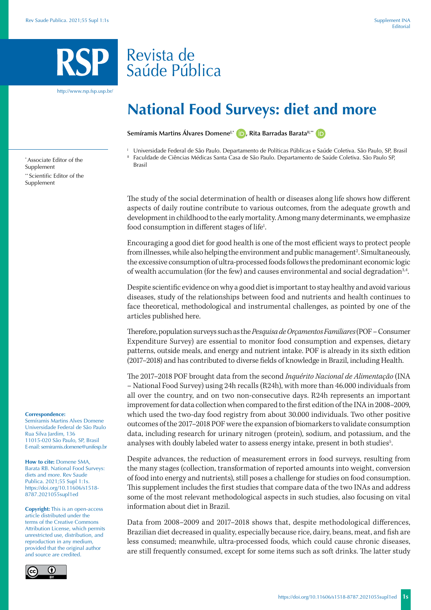## Revista de Saúde Pública

http://www.rsp.fsp.usp.br/

## **National Food Surveys: diet and more**

**Semíramis Martins Álvares Domene<sup>t,\*</sup> <b>iD**[,](https://orcid.org/0000-0003-3003-2153) Rita Barradas Barata<sup>n,\*\*</sup> **iD** 

<sup>I</sup> Universidade Federal de São Paulo. Departamento de Políticas Públicas e Saúde Coletiva. São Paulo, SP, Brasil

Faculdade de Ciências Médicas Santa Casa de São Paulo. Departamento de Saúde Coletiva. São Paulo SP, Brasil

The study of the social determination of health or diseases along life shows how different aspects of daily routine contribute to various outcomes, from the adequate growth and development in childhood to the early mortality. Among many determinants, we emphasize food consumption in different stages of life<sup>1</sup>. .

Encouraging a good diet for good health is one of the most efficient ways to protect people from illnesses, while also helping the environment and public management<sup>2</sup>. Simultaneously, the excessive consumption of ultra-processed foods follows the predominant economic logic of wealth accumulation (for the few) and causes environmental and social degradation<sup>3,4</sup>.

Despite scientific evidence on why a good diet is important to stay healthy and avoid various diseases, study of the relationships between food and nutrients and health continues to face theoretical, methodological and instrumental challenges, as pointed by one of the articles published here.

Therefore, population surveys such as the *Pesquisa de Orçamentos Familiares* (POF – Consumer Expenditure Survey) are essential to monitor food consumption and expenses, dietary patterns, outside meals, and energy and nutrient intake. POF is already in its sixth edition (2017–2018) and has contributed to diverse fields of knowledge in Brazil, including Health.

The 2017–2018 POF brought data from the second *Inquérito Nacional de Alimentação* (INA – National Food Survey) using 24h recalls (R24h), with more than 46.000 individuals from all over the country, and on two non-consecutive days. R24h represents an important improvement for data collection when compared to the first edition of the INA in 2008–2009, which used the two-day food registry from about 30.000 individuals. Two other positive outcomes of the 2017–2018 POF were the expansion of biomarkers to validate consumption data, including research for urinary nitrogen (protein), sodium, and potassium, and the analyses with doubly labeled water to assess energy intake, present in both studies<sup>5</sup>. .

Despite advances, the reduction of measurement errors in food surveys, resulting from the many stages (collection, transformation of reported amounts into weight, conversion of food into energy and nutrients), still poses a challenge for studies on food consumption. This supplement includes the first studies that compare data of the two INAs and address some of the most relevant methodological aspects in such studies, also focusing on vital information about diet in Brazil.

Data from 2008–2009 and 2017–2018 shows that, despite methodological differences, Brazilian diet decreased in quality, especially because rice, dairy, beans, meat, and fish are less consumed; meanwhile, ultra-processed foods, which could cause chronic diseases, are still frequently consumed, except for some items such as soft drinks. The latter study

\* Associate Editor of the Supplement \*\* Scientific Editor of the Supplement

## **Correspondence:**

Semíramis Martins Alves Domene Universidade Federal de São Paulo Rua Silva Jardim, 136 11015-020 São Paulo, SP, Brasil E-mail: semiramis.domene@unifesp.br

**How to cite:** Domene SMA, Barata RB. National Food Surveys: diets and more. Rev Saude Publica. 2021;55 Supl 1:1s. https://doi.org/10.11606/s1518- 8787.2021055supl1ed

**Copyright:** This is an open-access article distributed under the terms of the Creative Commons Attribution License, which permits unrestricted use, distribution, and reproduction in any medium, provided that the original author and source are credited.